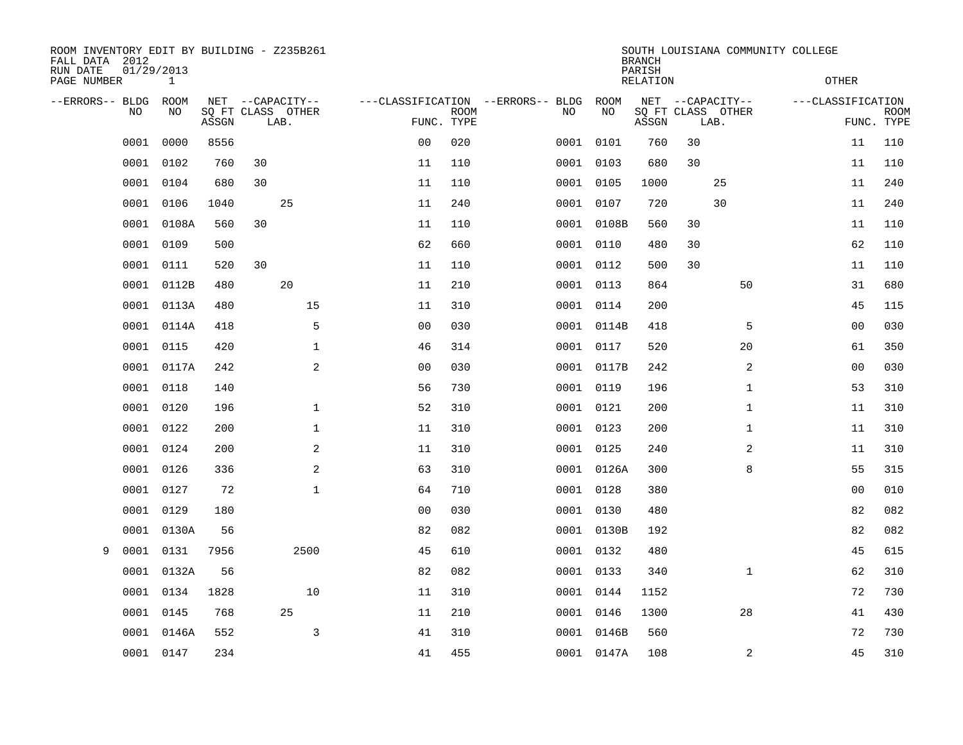| ROOM INVENTORY EDIT BY BUILDING - Z235B261<br>FALL DATA 2012<br>RUN DATE<br>PAGE NUMBER | 01/29/2013<br>$\mathbf{1}$ |       |                                               |                |             |                                         |            | <b>BRANCH</b><br>PARISH<br><b>RELATION</b> | SOUTH LOUISIANA COMMUNITY COLLEGE             | <b>OTHER</b>      |                           |
|-----------------------------------------------------------------------------------------|----------------------------|-------|-----------------------------------------------|----------------|-------------|-----------------------------------------|------------|--------------------------------------------|-----------------------------------------------|-------------------|---------------------------|
| --ERRORS-- BLDG<br>NO                                                                   | ROOM<br>NO                 | ASSGN | NET --CAPACITY--<br>SQ FT CLASS OTHER<br>LAB. | FUNC. TYPE     | <b>ROOM</b> | ---CLASSIFICATION --ERRORS-- BLDG<br>NO | ROOM<br>NO | ASSGN                                      | NET --CAPACITY--<br>SQ FT CLASS OTHER<br>LAB. | ---CLASSIFICATION | <b>ROOM</b><br>FUNC. TYPE |
| 0001                                                                                    | 0000                       | 8556  |                                               | 0 <sub>0</sub> | 020         | 0001                                    | 0101       | 760                                        | 30                                            | 11                | 110                       |
| 0001                                                                                    | 0102                       | 760   | 30                                            | 11             | 110         |                                         | 0001 0103  | 680                                        | 30                                            | 11                | 110                       |
| 0001                                                                                    | 0104                       | 680   | 30                                            | 11             | 110         |                                         | 0001 0105  | 1000                                       | 25                                            | 11                | 240                       |
| 0001                                                                                    | 0106                       | 1040  | 25                                            | 11             | 240         |                                         | 0001 0107  | 720                                        | 30                                            | 11                | 240                       |
| 0001                                                                                    | 0108A                      | 560   | 30                                            | 11             | 110         |                                         | 0001 0108B | 560                                        | 30                                            | 11                | 110                       |
| 0001                                                                                    | 0109                       | 500   |                                               | 62             | 660         |                                         | 0001 0110  | 480                                        | 30                                            | 62                | 110                       |
| 0001                                                                                    | 0111                       | 520   | 30                                            | 11             | 110         |                                         | 0001 0112  | 500                                        | 30                                            | 11                | 110                       |
| 0001                                                                                    | 0112B                      | 480   | 20                                            | 11             | 210         |                                         | 0001 0113  | 864                                        | 50                                            | 31                | 680                       |
| 0001                                                                                    | 0113A                      | 480   | 15                                            | 11             | 310         |                                         | 0001 0114  | 200                                        |                                               | 45                | 115                       |
| 0001                                                                                    | 0114A                      | 418   | 5                                             | 0 <sub>0</sub> | 030         |                                         | 0001 0114B | 418                                        | 5                                             | 0 <sub>0</sub>    | 030                       |
| 0001                                                                                    | 0115                       | 420   | $\mathbf 1$                                   | 46             | 314         |                                         | 0001 0117  | 520                                        | 20                                            | 61                | 350                       |
| 0001                                                                                    | 0117A                      | 242   | 2                                             | 00             | 030         |                                         | 0001 0117B | 242                                        | 2                                             | 00                | 030                       |
| 0001                                                                                    | 0118                       | 140   |                                               | 56             | 730         |                                         | 0001 0119  | 196                                        | $\mathbf{1}$                                  | 53                | 310                       |
| 0001                                                                                    | 0120                       | 196   | $\mathbf 1$                                   | 52             | 310         |                                         | 0001 0121  | 200                                        | $\mathbf{1}$                                  | 11                | 310                       |
| 0001                                                                                    | 0122                       | 200   | $\mathbf{1}$                                  | 11             | 310         |                                         | 0001 0123  | 200                                        | $\mathbf{1}$                                  | 11                | 310                       |
| 0001                                                                                    | 0124                       | 200   | 2                                             | 11             | 310         |                                         | 0001 0125  | 240                                        | 2                                             | 11                | 310                       |
| 0001                                                                                    | 0126                       | 336   | $\mathbf{2}$                                  | 63             | 310         |                                         | 0001 0126A | 300                                        | 8                                             | 55                | 315                       |
| 0001                                                                                    | 0127                       | 72    | $\mathbf 1$                                   | 64             | 710         |                                         | 0001 0128  | 380                                        |                                               | 00                | 010                       |
| 0001                                                                                    | 0129                       | 180   |                                               | 0 <sub>0</sub> | 030         |                                         | 0001 0130  | 480                                        |                                               | 82                | 082                       |
| 0001                                                                                    | 0130A                      | 56    |                                               | 82             | 082         |                                         | 0001 0130B | 192                                        |                                               | 82                | 082                       |
| 0001<br>9                                                                               | 0131                       | 7956  | 2500                                          | 45             | 610         |                                         | 0001 0132  | 480                                        |                                               | 45                | 615                       |
| 0001                                                                                    | 0132A                      | 56    |                                               | 82             | 082         |                                         | 0001 0133  | 340                                        | $\mathbf{1}$                                  | 62                | 310                       |
| 0001                                                                                    | 0134                       | 1828  | 10                                            | 11             | 310         |                                         | 0001 0144  | 1152                                       |                                               | 72                | 730                       |
| 0001                                                                                    | 0145                       | 768   | 25                                            | 11             | 210         |                                         | 0001 0146  | 1300                                       | 28                                            | 41                | 430                       |
| 0001                                                                                    | 0146A                      | 552   | $\mathsf{3}$                                  | 41             | 310         |                                         | 0001 0146B | 560                                        |                                               | 72                | 730                       |
|                                                                                         | 0001 0147                  | 234   |                                               | 41             | 455         |                                         | 0001 0147A | 108                                        | 2                                             | 45                | 310                       |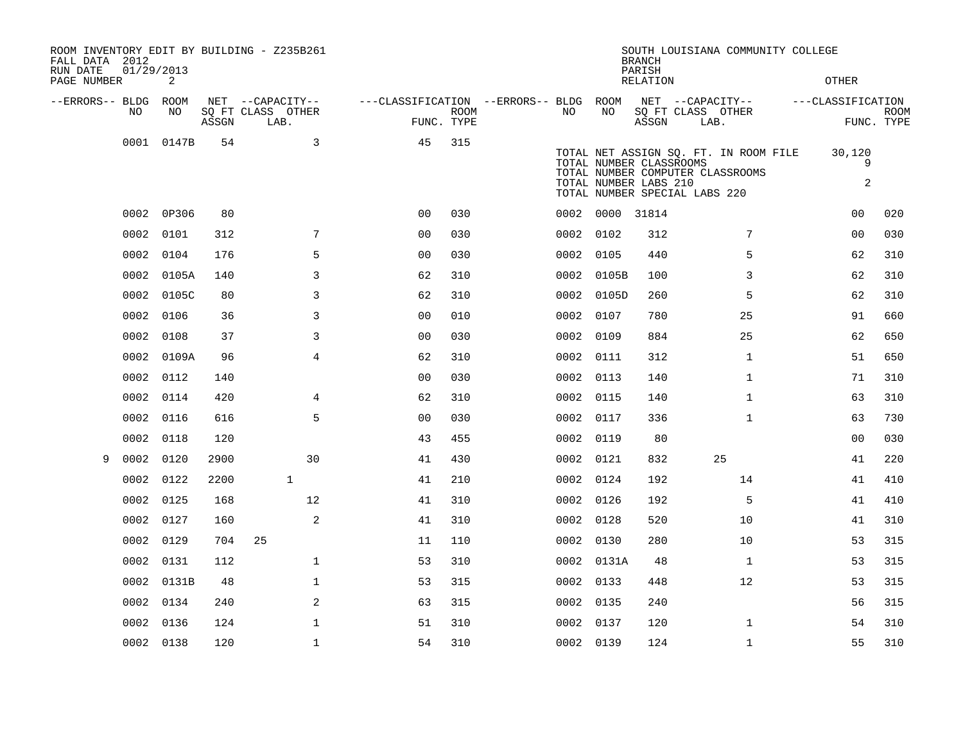| FALL DATA 2012          |            |            |       | ROOM INVENTORY EDIT BY BUILDING - Z235B261 |                                        |             |           |                 | <b>BRANCH</b>                                    | SOUTH LOUISIANA COMMUNITY COLLEGE                                                                          |                             |                           |
|-------------------------|------------|------------|-------|--------------------------------------------|----------------------------------------|-------------|-----------|-----------------|--------------------------------------------------|------------------------------------------------------------------------------------------------------------|-----------------------------|---------------------------|
| RUN DATE<br>PAGE NUMBER | 01/29/2013 | 2          |       |                                            |                                        |             |           |                 | PARISH<br><b>RELATION</b>                        |                                                                                                            | <b>OTHER</b>                |                           |
| --ERRORS-- BLDG ROOM    |            |            |       | NET --CAPACITY--                           | ---CLASSIFICATION --ERRORS-- BLDG ROOM |             |           |                 |                                                  | NET --CAPACITY--                                                                                           | ---CLASSIFICATION           |                           |
|                         | NO.        | NO.        | ASSGN | SQ FT CLASS OTHER<br>LAB.                  | FUNC. TYPE                             | <b>ROOM</b> | NO.       | NO              | ASSGN                                            | SQ FT CLASS OTHER<br>LAB.                                                                                  |                             | <b>ROOM</b><br>FUNC. TYPE |
|                         |            | 0001 0147B | 54    | 3                                          | 45                                     | 315         |           |                 | TOTAL NUMBER CLASSROOMS<br>TOTAL NUMBER LABS 210 | TOTAL NET ASSIGN SQ. FT. IN ROOM FILE<br>TOTAL NUMBER COMPUTER CLASSROOMS<br>TOTAL NUMBER SPECIAL LABS 220 | 30,120<br>9<br>$\mathbf{2}$ |                           |
|                         | 0002       | 0P306      | 80    |                                            | 0 <sup>0</sup>                         | 030         |           | 0002 0000 31814 |                                                  |                                                                                                            | 00                          | 020                       |
|                         | 0002       | 0101       | 312   | 7                                          | 0 <sub>0</sub>                         | 030         | 0002      | 0102            | 312                                              | 7                                                                                                          | 0 <sub>0</sub>              | 030                       |
|                         | 0002       | 0104       | 176   | 5                                          | 0 <sub>0</sub>                         | 030         |           | 0002 0105       | 440                                              | 5                                                                                                          | 62                          | 310                       |
|                         | 0002       | 0105A      | 140   | 3                                          | 62                                     | 310         |           | 0002 0105B      | 100                                              | 3                                                                                                          | 62                          | 310                       |
|                         | 0002       | 0105C      | 80    | 3                                          | 62                                     | 310         |           | 0002 0105D      | 260                                              | 5                                                                                                          | 62                          | 310                       |
|                         | 0002       | 0106       | 36    | 3                                          | 0 <sub>0</sub>                         | 010         | 0002      | 0107            | 780                                              | 25                                                                                                         | 91                          | 660                       |
|                         | 0002       | 0108       | 37    | 3                                          | 0 <sub>0</sub>                         | 030         | 0002 0109 |                 | 884                                              | 25                                                                                                         | 62                          | 650                       |
|                         | 0002       | 0109A      | 96    | $\overline{4}$                             | 62                                     | 310         | 0002      | 0111            | 312                                              | $\mathbf{1}$                                                                                               | 51                          | 650                       |
|                         | 0002       | 0112       | 140   |                                            | 0 <sub>0</sub>                         | 030         | 0002 0113 |                 | 140                                              | $\mathbf{1}$                                                                                               | 71                          | 310                       |
|                         | 0002       | 0114       | 420   | $\overline{4}$                             | 62                                     | 310         | 0002      | 0115            | 140                                              | $\mathbf{1}$                                                                                               | 63                          | 310                       |
|                         | 0002       | 0116       | 616   | 5                                          | 0 <sub>0</sub>                         | 030         | 0002 0117 |                 | 336                                              | $\mathbf{1}$                                                                                               | 63                          | 730                       |
|                         | 0002       | 0118       | 120   |                                            | 43                                     | 455         | 0002 0119 |                 | 80                                               |                                                                                                            | 0 <sub>0</sub>              | 030                       |
| 9                       | 0002       | 0120       | 2900  | 30                                         | 41                                     | 430         | 0002 0121 |                 | 832                                              | 25                                                                                                         | 41                          | 220                       |
|                         | 0002       | 0122       | 2200  | $\mathbf{1}$                               | 41                                     | 210         | 0002 0124 |                 | 192                                              | 14                                                                                                         | 41                          | 410                       |
|                         | 0002       | 0125       | 168   | 12                                         | 41                                     | 310         | 0002 0126 |                 | 192                                              | 5                                                                                                          | 41                          | 410                       |
|                         | 0002       | 0127       | 160   | 2                                          | 41                                     | 310         | 0002      | 0128            | 520                                              | 10                                                                                                         | 41                          | 310                       |
|                         | 0002       | 0129       | 704   | 25                                         | 11                                     | 110         | 0002 0130 |                 | 280                                              | 10                                                                                                         | 53                          | 315                       |
|                         | 0002       | 0131       | 112   | $\mathbf{1}$                               | 53                                     | 310         |           | 0002 0131A      | 48                                               | $\mathbf{1}$                                                                                               | 53                          | 315                       |
|                         | 0002       | 0131B      | 48    | $\mathbf 1$                                | 53                                     | 315         | 0002 0133 |                 | 448                                              | 12                                                                                                         | 53                          | 315                       |
|                         | 0002       | 0134       | 240   | 2                                          | 63                                     | 315         | 0002 0135 |                 | 240                                              |                                                                                                            | 56                          | 315                       |
|                         | 0002       | 0136       | 124   | $\mathbf{1}$                               | 51                                     | 310         | 0002 0137 |                 | 120                                              | $\mathbf{1}$                                                                                               | 54                          | 310                       |
|                         |            | 0002 0138  | 120   | $\mathbf{1}$                               | 54                                     | 310         | 0002 0139 |                 | 124                                              | $\mathbf{1}$                                                                                               | 55                          | 310                       |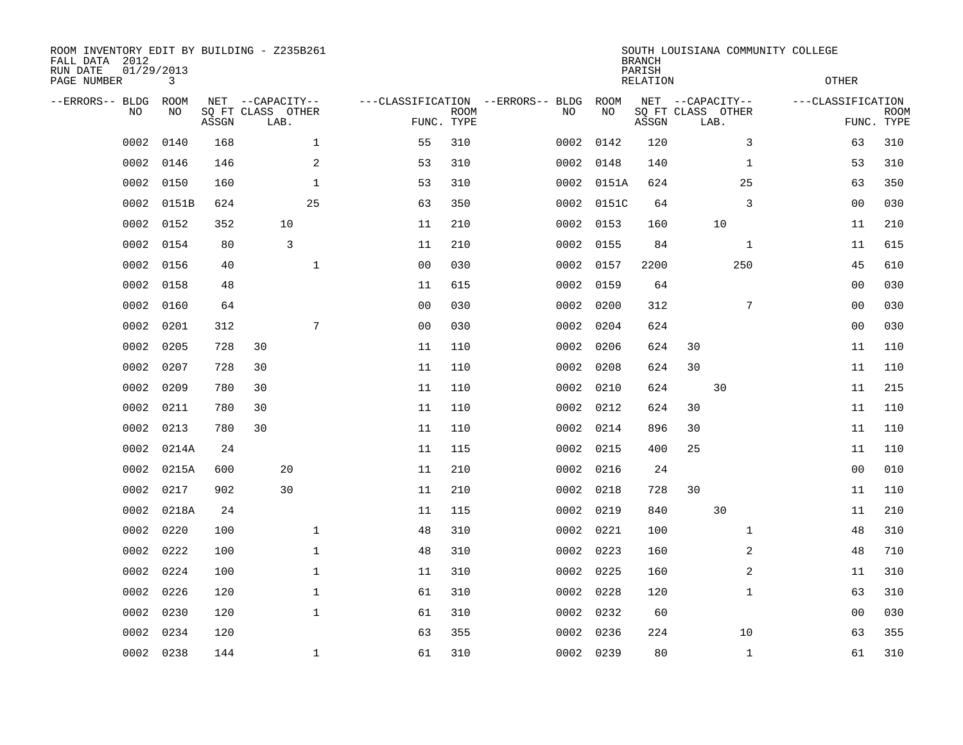| ROOM INVENTORY EDIT BY BUILDING - Z235B261<br>FALL DATA 2012<br>RUN DATE<br>PAGE NUMBER | 01/29/2013<br>3 |       |                                       |      |                |                                   |                           |           |            | <b>BRANCH</b><br>PARISH<br><b>RELATION</b> | SOUTH LOUISIANA COMMUNITY COLLEGE             |              | <b>OTHER</b>      |                           |
|-----------------------------------------------------------------------------------------|-----------------|-------|---------------------------------------|------|----------------|-----------------------------------|---------------------------|-----------|------------|--------------------------------------------|-----------------------------------------------|--------------|-------------------|---------------------------|
| --ERRORS-- BLDG<br>NO                                                                   | ROOM<br>NO      | ASSGN | NET --CAPACITY--<br>SQ FT CLASS OTHER | LAB. |                | ---CLASSIFICATION --ERRORS-- BLDG | <b>ROOM</b><br>FUNC. TYPE | NO        | ROOM<br>NO | ASSGN                                      | NET --CAPACITY--<br>SQ FT CLASS OTHER<br>LAB. |              | ---CLASSIFICATION | <b>ROOM</b><br>FUNC. TYPE |
| 0002                                                                                    | 0140            | 168   |                                       |      | $\mathbf{1}$   | 55                                | 310                       | 0002      | 0142       | 120                                        |                                               | 3            | 63                | 310                       |
| 0002                                                                                    | 0146            | 146   |                                       |      | $\overline{a}$ | 53                                | 310                       | 0002      | 0148       | 140                                        |                                               | $\mathbf{1}$ | 53                | 310                       |
| 0002                                                                                    | 0150            | 160   |                                       |      | $\mathbf 1$    | 53                                | 310                       | 0002      | 0151A      | 624                                        |                                               | 25           | 63                | 350                       |
| 0002                                                                                    | 0151B           | 624   |                                       |      | 25             | 63                                | 350                       |           | 0002 0151C | 64                                         |                                               | 3            | 00                | 030                       |
| 0002                                                                                    | 0152            | 352   |                                       | 10   |                | 11                                | 210                       | 0002      | 0153       | 160                                        | 10                                            |              | 11                | 210                       |
| 0002                                                                                    | 0154            | 80    |                                       | 3    |                | 11                                | 210                       |           | 0002 0155  | 84                                         |                                               | $\mathbf{1}$ | 11                | 615                       |
| 0002                                                                                    | 0156            | 40    |                                       |      | $\mathbf{1}$   | 0 <sub>0</sub>                    | 030                       | 0002      | 0157       | 2200                                       |                                               | 250          | 45                | 610                       |
| 0002                                                                                    | 0158            | 48    |                                       |      |                | 11                                | 615                       | 0002      | 0159       | 64                                         |                                               |              | 0 <sub>0</sub>    | 030                       |
| 0002                                                                                    | 0160            | 64    |                                       |      |                | 0 <sub>0</sub>                    | 030                       | 0002      | 0200       | 312                                        |                                               | 7            | 0 <sub>0</sub>    | 030                       |
| 0002                                                                                    | 0201            | 312   |                                       |      | 7              | 0 <sub>0</sub>                    | 030                       | 0002      | 0204       | 624                                        |                                               |              | 0 <sub>0</sub>    | 030                       |
| 0002                                                                                    | 0205            | 728   | 30                                    |      |                | 11                                | 110                       | 0002      | 0206       | 624                                        | 30                                            |              | 11                | 110                       |
| 0002                                                                                    | 0207            | 728   | 30                                    |      |                | 11                                | 110                       | 0002      | 0208       | 624                                        | 30                                            |              | 11                | 110                       |
| 0002                                                                                    | 0209            | 780   | 30                                    |      |                | 11                                | 110                       | 0002      | 0210       | 624                                        | 30                                            |              | 11                | 215                       |
| 0002                                                                                    | 0211            | 780   | 30                                    |      |                | 11                                | 110                       | 0002 0212 |            | 624                                        | 30                                            |              | 11                | 110                       |
| 0002                                                                                    | 0213            | 780   | 30                                    |      |                | 11                                | 110                       | 0002      | 0214       | 896                                        | 30                                            |              | 11                | 110                       |
| 0002                                                                                    | 0214A           | 24    |                                       |      |                | 11                                | 115                       | 0002 0215 |            | 400                                        | 25                                            |              | 11                | 110                       |
| 0002                                                                                    | 0215A           | 600   |                                       | 20   |                | 11                                | 210                       | 0002 0216 |            | 24                                         |                                               |              | 0 <sub>0</sub>    | 010                       |
| 0002                                                                                    | 0217            | 902   |                                       | 30   |                | 11                                | 210                       | 0002 0218 |            | 728                                        | 30                                            |              | 11                | 110                       |
| 0002                                                                                    | 0218A           | 24    |                                       |      |                | 11                                | 115                       | 0002 0219 |            | 840                                        | 30                                            |              | 11                | 210                       |
| 0002                                                                                    | 0220            | 100   |                                       |      | $\mathbf 1$    | 48                                | 310                       | 0002 0221 |            | 100                                        |                                               | $\mathbf{1}$ | 48                | 310                       |
| 0002                                                                                    | 0222            | 100   |                                       |      | $\mathbf 1$    | 48                                | 310                       | 0002 0223 |            | 160                                        |                                               | 2            | 48                | 710                       |
| 0002                                                                                    | 0224            | 100   |                                       |      | $\mathbf 1$    | 11                                | 310                       | 0002      | 0225       | 160                                        |                                               | 2            | 11                | 310                       |
| 0002                                                                                    | 0226            | 120   |                                       |      | $\mathbf 1$    | 61                                | 310                       | 0002 0228 |            | 120                                        |                                               | $\mathbf{1}$ | 63                | 310                       |
| 0002                                                                                    | 0230            | 120   |                                       |      | $\mathbf{1}$   | 61                                | 310                       | 0002      | 0232       | 60                                         |                                               |              | 00                | 030                       |
| 0002                                                                                    | 0234            | 120   |                                       |      |                | 63                                | 355                       | 0002      | 0236       | 224                                        |                                               | 10           | 63                | 355                       |
| 0002                                                                                    | 0238            | 144   |                                       |      | $\mathbf 1$    | 61                                | 310                       | 0002 0239 |            | 80                                         |                                               | $\mathbf{1}$ | 61                | 310                       |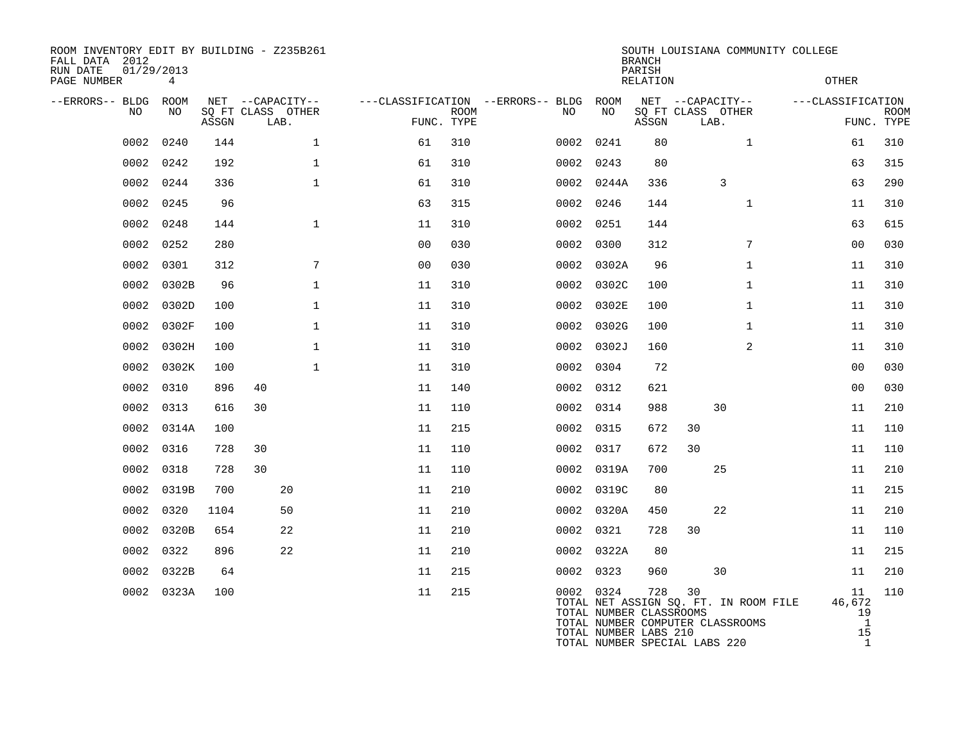| ROOM INVENTORY EDIT BY BUILDING - Z235B261<br>FALL DATA 2012<br>RUN DATE<br>PAGE NUMBER | 01/29/2013<br>4 |       |                                               |                |             |                                          |                                                               | <b>BRANCH</b><br>PARISH<br>RELATION | SOUTH LOUISIANA COMMUNITY COLLEGE                                               | <b>OTHER</b>                             |                           |
|-----------------------------------------------------------------------------------------|-----------------|-------|-----------------------------------------------|----------------|-------------|------------------------------------------|---------------------------------------------------------------|-------------------------------------|---------------------------------------------------------------------------------|------------------------------------------|---------------------------|
| --ERRORS-- BLDG<br><b>NO</b>                                                            | ROOM<br>NO.     | ASSGN | NET --CAPACITY--<br>SQ FT CLASS OTHER<br>LAB. | FUNC. TYPE     | <b>ROOM</b> | ---CLASSIFICATION --ERRORS-- BLDG<br>NO. | ROOM<br>NO                                                    | ASSGN                               | NET --CAPACITY--<br>SQ FT CLASS OTHER<br>LAB.                                   | ---CLASSIFICATION                        | <b>ROOM</b><br>FUNC. TYPE |
| 0002                                                                                    | 0240            | 144   | $\mathbf 1$                                   | 61             | 310         | 0002                                     | 0241                                                          | 80                                  | $\mathbf{1}$                                                                    | 61                                       | 310                       |
| 0002                                                                                    | 0242            | 192   | $\mathbf 1$                                   | 61             | 310         | 0002                                     | 0243                                                          | 80                                  |                                                                                 | 63                                       | 315                       |
| 0002                                                                                    | 0244            | 336   | $\mathbf 1$                                   | 61             | 310         |                                          | 0002 0244A                                                    | 336                                 | 3                                                                               | 63                                       | 290                       |
| 0002                                                                                    | 0245            | 96    |                                               | 63             | 315         | 0002                                     | 0246                                                          | 144                                 | $\mathbf{1}$                                                                    | 11                                       | 310                       |
| 0002                                                                                    | 0248            | 144   | $\mathbf{1}$                                  | 11             | 310         |                                          | 0002 0251                                                     | 144                                 |                                                                                 | 63                                       | 615                       |
| 0002                                                                                    | 0252            | 280   |                                               | 0 <sub>0</sub> | 030         |                                          | 0002 0300                                                     | 312                                 | 7                                                                               | 0 <sub>0</sub>                           | 030                       |
| 0002                                                                                    | 0301            | 312   | 7                                             | 00             | 030         |                                          | 0002 0302A                                                    | 96                                  | $\mathbf{1}$                                                                    | 11                                       | 310                       |
| 0002                                                                                    | 0302B           | 96    | $\mathbf 1$                                   | 11             | 310         |                                          | 0002 0302C                                                    | 100                                 | $\mathbf{1}$                                                                    | 11                                       | 310                       |
| 0002                                                                                    | 0302D           | 100   | $\mathbf{1}$                                  | 11             | 310         | 0002                                     | 0302E                                                         | 100                                 | $\mathbf{1}$                                                                    | 11                                       | 310                       |
| 0002                                                                                    | 0302F           | 100   | $\mathbf 1$                                   | 11             | 310         |                                          | 0002 0302G                                                    | 100                                 | $\mathbf{1}$                                                                    | 11                                       | 310                       |
| 0002                                                                                    | 0302H           | 100   | $\mathbf 1$                                   | 11             | 310         |                                          | 0002 0302J                                                    | 160                                 | 2                                                                               | 11                                       | 310                       |
| 0002                                                                                    | 0302K           | 100   | $\mathbf{1}$                                  | 11             | 310         |                                          | 0002 0304                                                     | 72                                  |                                                                                 | 0 <sub>0</sub>                           | 030                       |
| 0002                                                                                    | 0310            | 896   | 40                                            | 11             | 140         |                                          | 0002 0312                                                     | 621                                 |                                                                                 | 0 <sub>0</sub>                           | 030                       |
| 0002                                                                                    | 0313            | 616   | 30                                            | 11             | 110         |                                          | 0002 0314                                                     | 988                                 | 30                                                                              | 11                                       | 210                       |
| 0002                                                                                    | 0314A           | 100   |                                               | 11             | 215         |                                          | 0002 0315                                                     | 672                                 | 30                                                                              | 11                                       | 110                       |
| 0002                                                                                    | 0316            | 728   | 30                                            | 11             | 110         |                                          | 0002 0317                                                     | 672                                 | 30                                                                              | 11                                       | 110                       |
| 0002                                                                                    | 0318            | 728   | 30                                            | 11             | 110         | 0002                                     | 0319A                                                         | 700                                 | 25                                                                              | 11                                       | 210                       |
| 0002                                                                                    | 0319B           | 700   | 20                                            | 11             | 210         |                                          | 0002 0319C                                                    | 80                                  |                                                                                 | 11                                       | 215                       |
| 0002                                                                                    | 0320            | 1104  | 50                                            | 11             | 210         |                                          | 0002 0320A                                                    | 450                                 | 22                                                                              | 11                                       | 210                       |
| 0002                                                                                    | 0320B           | 654   | 22                                            | 11             | 210         |                                          | 0002 0321                                                     | 728                                 | 30                                                                              | 11                                       | 110                       |
| 0002                                                                                    | 0322            | 896   | 22                                            | 11             | 210         |                                          | 0002 0322A                                                    | 80                                  |                                                                                 | 11                                       | 215                       |
| 0002                                                                                    | 0322B           | 64    |                                               | 11             | 215         |                                          | 0002 0323                                                     | 960                                 | 30                                                                              | 11                                       | 210                       |
|                                                                                         | 0002 0323A      | 100   |                                               | 11             | 215         |                                          | 0002 0324<br>TOTAL NUMBER CLASSROOMS<br>TOTAL NUMBER LABS 210 | 728                                 | 30<br>TOTAL NET ASSIGN SQ. FT. IN ROOM FILE<br>TOTAL NUMBER COMPUTER CLASSROOMS | 11<br>46,672<br>19<br>$\mathbf{1}$<br>15 | 110                       |

TOTAL NUMBER SPECIAL LABS 220 1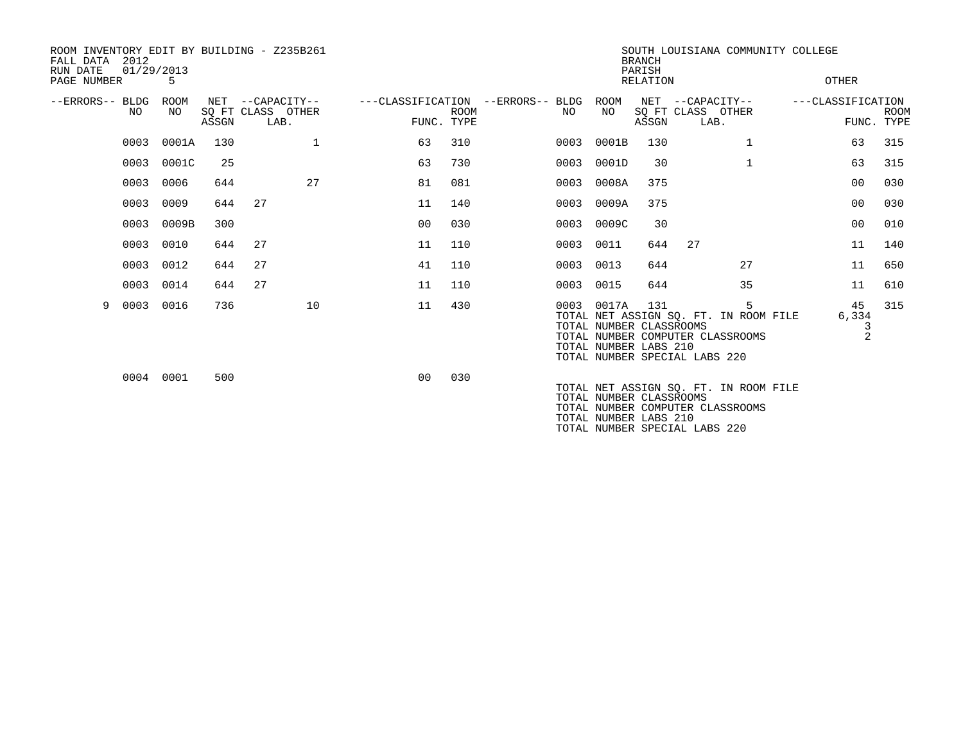| FALL DATA<br>RUN DATE | 2012<br>01/29/2013 |             |       | ROOM INVENTORY EDIT BY BUILDING - Z235B261    |         |                           |                                          |                                                                | <b>BRANCH</b><br>PARISH |                                                                                                            |              | SOUTH LOUISIANA COMMUNITY COLLEGE |                           |
|-----------------------|--------------------|-------------|-------|-----------------------------------------------|---------|---------------------------|------------------------------------------|----------------------------------------------------------------|-------------------------|------------------------------------------------------------------------------------------------------------|--------------|-----------------------------------|---------------------------|
| PAGE NUMBER           |                    | 5           |       |                                               |         |                           |                                          |                                                                | <b>RELATION</b>         |                                                                                                            |              | OTHER                             |                           |
| --ERRORS-- BLDG       | NO.                | ROOM<br>NO. | ASSGN | NET --CAPACITY--<br>SQ FT CLASS OTHER<br>LAB. |         | <b>ROOM</b><br>FUNC. TYPE | ---CLASSIFICATION --ERRORS-- BLDG<br>NO. | ROOM<br>NO                                                     | ASSGN                   | NET --CAPACITY--<br>SQ FT CLASS OTHER<br>LAB.                                                              |              | ---CLASSIFICATION                 | <b>ROOM</b><br>FUNC. TYPE |
|                       | 0003               | 0001A       | 130   | 1                                             | 63      | 310                       | 0003                                     | 0001B                                                          | 130                     |                                                                                                            | 1            | 63                                | 315                       |
|                       | 0003               | 0001C       | 25    |                                               | 63      | 730                       | 0003                                     | 0001D                                                          | 30                      |                                                                                                            | $\mathbf{1}$ | 63                                | 315                       |
|                       | 0003               | 0006        | 644   | 27                                            | 81      | 081                       | 0003                                     | 0008A                                                          | 375                     |                                                                                                            |              | 00                                | 030                       |
|                       | 0003               | 0009        | 644   | 27                                            | 11      | 140                       | 0003                                     | 0009A                                                          | 375                     |                                                                                                            |              | 00                                | 030                       |
|                       | 0003               | 0009B       | 300   |                                               | $00 \,$ | 030                       | 0003                                     | 0009C                                                          | 30                      |                                                                                                            |              | 00                                | 010                       |
|                       | 0003               | 0010        | 644   | 27                                            | 11      | 110                       | 0003                                     | 0011                                                           | 644                     | 27                                                                                                         |              | 11                                | 140                       |
|                       | 0003               | 0012        | 644   | 27                                            | 41      | 110                       | 0003                                     | 0013                                                           | 644                     |                                                                                                            | 27           | 11                                | 650                       |
|                       | 0003               | 0014        | 644   | 27                                            | 11      | 110                       | 0003                                     | 0015                                                           | 644                     |                                                                                                            | 35           | 11                                | 610                       |
| 9                     | 0003               | 0016        | 736   | 10                                            | 11      | 430                       |                                          | 0003 0017A<br>TOTAL NUMBER CLASSROOMS<br>TOTAL NUMBER LABS 210 | 131                     | TOTAL NET ASSIGN SQ. FT. IN ROOM FILE<br>TOTAL NUMBER COMPUTER CLASSROOMS<br>TOTAL NUMBER SPECIAL LABS 220 | 5            | 45<br>6,334                       | 315<br>$\overline{2}$     |
|                       |                    | 0004 0001   | 500   |                                               | 00      | 030                       |                                          | TOTAL NUMBER CLASSROOMS                                        |                         | TOTAL NET ASSIGN SQ. FT. IN ROOM FILE<br>TOTAL NUMBER COMPUTER CLASSROOMS                                  |              |                                   |                           |

TOTAL NUMBER LABS 210

TOTAL NUMBER SPECIAL LABS 220